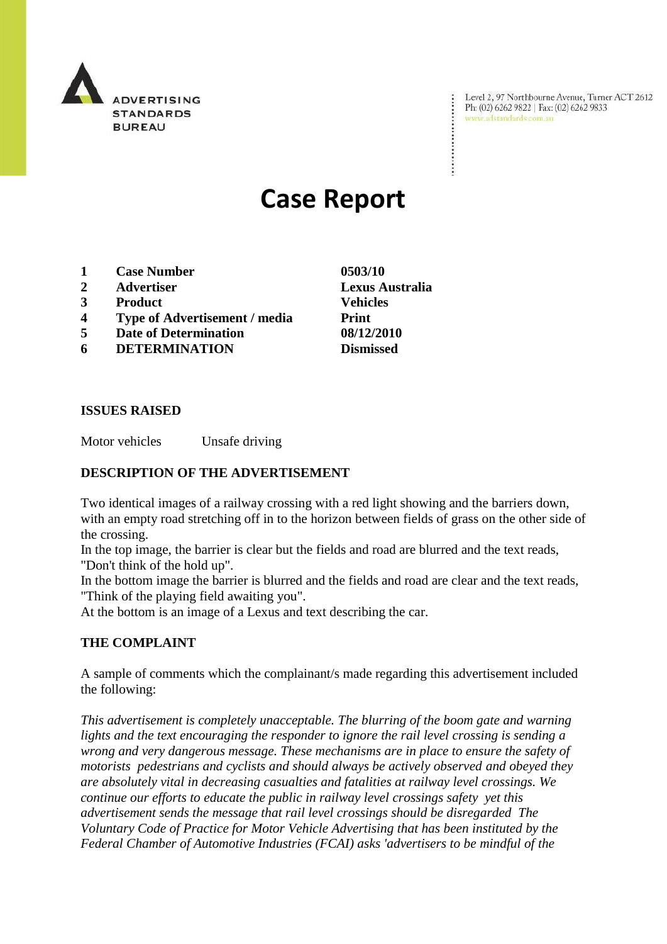

Level 2, 97 Northbourne Avenue, Turner ACT 2612 Ph: (02) 6262 9822 | Fax: (02) 6262 9833 www.adstandards.com.au

# **Case Report**

- **1 Case Number 0503/10**
- **2 Advertiser Lexus Australia**
- **3 Product Vehicles**
- **4 Type of Advertisement / media Print**
- **5 Date of Determination 08/12/2010**
- **6 DETERMINATION Dismissed**

**ISSUES RAISED**

Motor vehicles Unsafe driving

#### **DESCRIPTION OF THE ADVERTISEMENT**

Two identical images of a railway crossing with a red light showing and the barriers down, with an empty road stretching off in to the horizon between fields of grass on the other side of the crossing.

In the top image, the barrier is clear but the fields and road are blurred and the text reads, "Don't think of the hold up".

In the bottom image the barrier is blurred and the fields and road are clear and the text reads, "Think of the playing field awaiting you".

At the bottom is an image of a Lexus and text describing the car.

## **THE COMPLAINT**

A sample of comments which the complainant/s made regarding this advertisement included the following:

*This advertisement is completely unacceptable. The blurring of the boom gate and warning lights and the text encouraging the responder to ignore the rail level crossing is sending a wrong and very dangerous message. These mechanisms are in place to ensure the safety of motorists pedestrians and cyclists and should always be actively observed and obeyed they are absolutely vital in decreasing casualties and fatalities at railway level crossings. We continue our efforts to educate the public in railway level crossings safety yet this advertisement sends the message that rail level crossings should be disregarded The Voluntary Code of Practice for Motor Vehicle Advertising that has been instituted by the Federal Chamber of Automotive Industries (FCAI) asks 'advertisers to be mindful of the*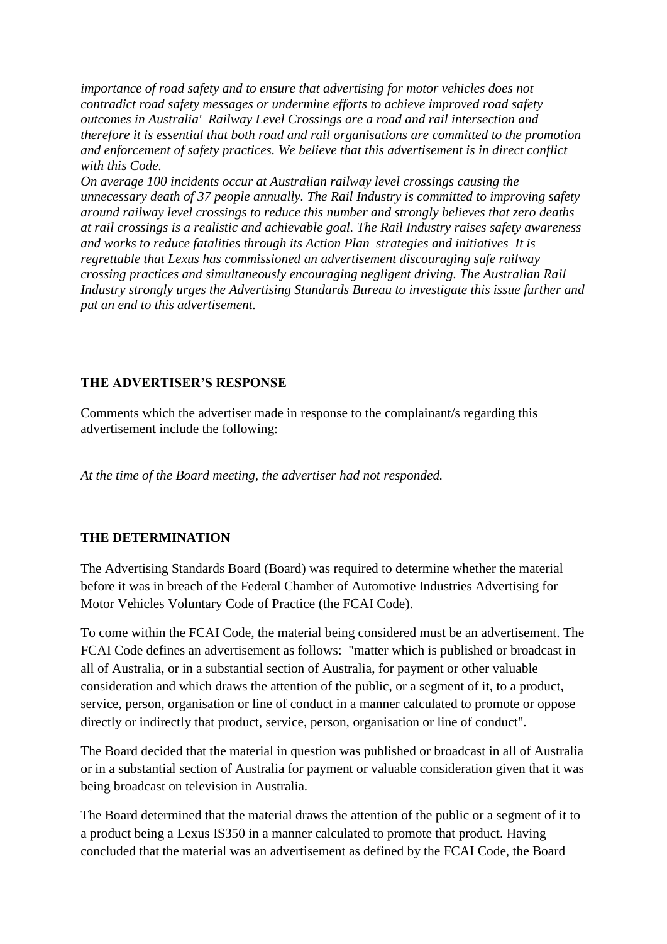*importance of road safety and to ensure that advertising for motor vehicles does not contradict road safety messages or undermine efforts to achieve improved road safety outcomes in Australia' Railway Level Crossings are a road and rail intersection and therefore it is essential that both road and rail organisations are committed to the promotion and enforcement of safety practices. We believe that this advertisement is in direct conflict with this Code.*

*On average 100 incidents occur at Australian railway level crossings causing the unnecessary death of 37 people annually. The Rail Industry is committed to improving safety around railway level crossings to reduce this number and strongly believes that zero deaths at rail crossings is a realistic and achievable goal. The Rail Industry raises safety awareness and works to reduce fatalities through its Action Plan strategies and initiatives It is regrettable that Lexus has commissioned an advertisement discouraging safe railway crossing practices and simultaneously encouraging negligent driving. The Australian Rail Industry strongly urges the Advertising Standards Bureau to investigate this issue further and put an end to this advertisement.*

#### **THE ADVERTISER'S RESPONSE**

Comments which the advertiser made in response to the complainant/s regarding this advertisement include the following:

*At the time of the Board meeting, the advertiser had not responded.* 

## **THE DETERMINATION**

The Advertising Standards Board (Board) was required to determine whether the material before it was in breach of the Federal Chamber of Automotive Industries Advertising for Motor Vehicles Voluntary Code of Practice (the FCAI Code).

To come within the FCAI Code, the material being considered must be an advertisement. The FCAI Code defines an advertisement as follows: "matter which is published or broadcast in all of Australia, or in a substantial section of Australia, for payment or other valuable consideration and which draws the attention of the public, or a segment of it, to a product, service, person, organisation or line of conduct in a manner calculated to promote or oppose directly or indirectly that product, service, person, organisation or line of conduct".

The Board decided that the material in question was published or broadcast in all of Australia or in a substantial section of Australia for payment or valuable consideration given that it was being broadcast on television in Australia.

The Board determined that the material draws the attention of the public or a segment of it to a product being a Lexus IS350 in a manner calculated to promote that product. Having concluded that the material was an advertisement as defined by the FCAI Code, the Board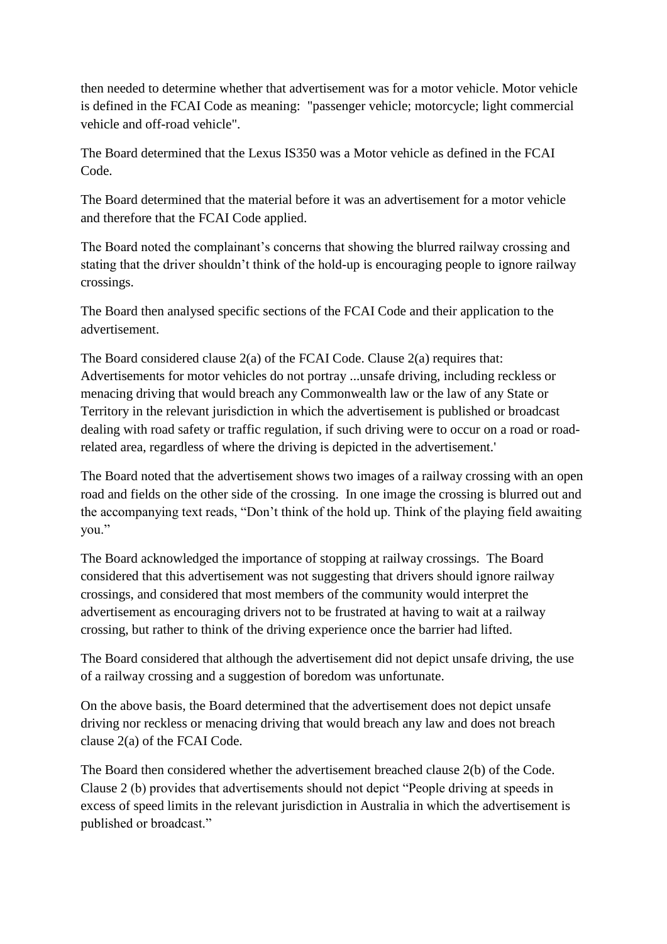then needed to determine whether that advertisement was for a motor vehicle. Motor vehicle is defined in the FCAI Code as meaning: "passenger vehicle; motorcycle; light commercial vehicle and off-road vehicle".

The Board determined that the Lexus IS350 was a Motor vehicle as defined in the FCAI Code.

The Board determined that the material before it was an advertisement for a motor vehicle and therefore that the FCAI Code applied.

The Board noted the complainant's concerns that showing the blurred railway crossing and stating that the driver shouldn"t think of the hold-up is encouraging people to ignore railway crossings.

The Board then analysed specific sections of the FCAI Code and their application to the advertisement.

The Board considered clause  $2(a)$  of the FCAI Code. Clause  $2(a)$  requires that: Advertisements for motor vehicles do not portray ...unsafe driving, including reckless or menacing driving that would breach any Commonwealth law or the law of any State or Territory in the relevant jurisdiction in which the advertisement is published or broadcast dealing with road safety or traffic regulation, if such driving were to occur on a road or roadrelated area, regardless of where the driving is depicted in the advertisement.'

The Board noted that the advertisement shows two images of a railway crossing with an open road and fields on the other side of the crossing. In one image the crossing is blurred out and the accompanying text reads, "Don"t think of the hold up. Think of the playing field awaiting you."

The Board acknowledged the importance of stopping at railway crossings. The Board considered that this advertisement was not suggesting that drivers should ignore railway crossings, and considered that most members of the community would interpret the advertisement as encouraging drivers not to be frustrated at having to wait at a railway crossing, but rather to think of the driving experience once the barrier had lifted.

The Board considered that although the advertisement did not depict unsafe driving, the use of a railway crossing and a suggestion of boredom was unfortunate.

On the above basis, the Board determined that the advertisement does not depict unsafe driving nor reckless or menacing driving that would breach any law and does not breach clause 2(a) of the FCAI Code.

The Board then considered whether the advertisement breached clause 2(b) of the Code. Clause 2 (b) provides that advertisements should not depict "People driving at speeds in excess of speed limits in the relevant jurisdiction in Australia in which the advertisement is published or broadcast."